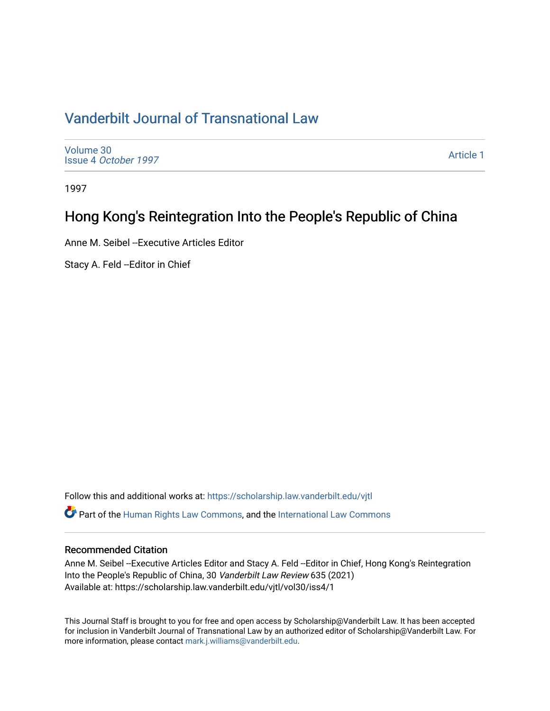# [Vanderbilt Journal of Transnational Law](https://scholarship.law.vanderbilt.edu/vjtl)

[Volume 30](https://scholarship.law.vanderbilt.edu/vjtl/vol30) Issue 4 [October 1997](https://scholarship.law.vanderbilt.edu/vjtl/vol30/iss4)

[Article 1](https://scholarship.law.vanderbilt.edu/vjtl/vol30/iss4/1) 

1997

### Hong Kong's Reintegration Into the People's Republic of China

Anne M. Seibel --Executive Articles Editor

Stacy A. Feld --Editor in Chief

Follow this and additional works at: [https://scholarship.law.vanderbilt.edu/vjtl](https://scholarship.law.vanderbilt.edu/vjtl?utm_source=scholarship.law.vanderbilt.edu%2Fvjtl%2Fvol30%2Fiss4%2F1&utm_medium=PDF&utm_campaign=PDFCoverPages)   $\bullet$  Part of the [Human Rights Law Commons,](http://network.bepress.com/hgg/discipline/847?utm_source=scholarship.law.vanderbilt.edu%2Fvjtl%2Fvol30%2Fiss4%2F1&utm_medium=PDF&utm_campaign=PDFCoverPages) and the International Law Commons

#### Recommended Citation

Anne M. Seibel --Executive Articles Editor and Stacy A. Feld --Editor in Chief, Hong Kong's Reintegration Into the People's Republic of China, 30 Vanderbilt Law Review 635 (2021) Available at: https://scholarship.law.vanderbilt.edu/vjtl/vol30/iss4/1

This Journal Staff is brought to you for free and open access by Scholarship@Vanderbilt Law. It has been accepted for inclusion in Vanderbilt Journal of Transnational Law by an authorized editor of Scholarship@Vanderbilt Law. For more information, please contact [mark.j.williams@vanderbilt.edu](mailto:mark.j.williams@vanderbilt.edu).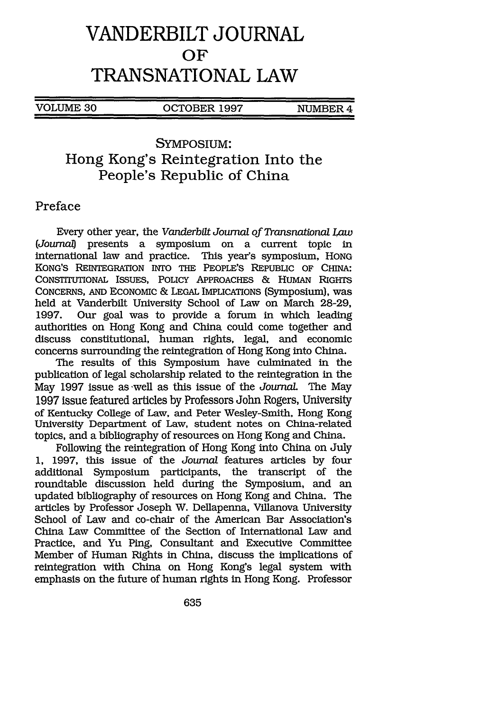# **VANDERBILT JOURNAL OF TRANSNATIONAL LAW**

VOLUME 30 OCTOBER 1997 NUMBER 4

### SYMPOSIUM: Hong Kong's Reintegration Into the People's Republic of China

#### Preface

Every other year, the *Vanderbilt Journal of Transnational Law (Journa)* presents a symposium on a current topic in international law and practice. This year's symposium, HONG KONG'S REINTEGRATION INTO THE PEOPLE'S REPUBLIC OF CHINA: CONSTITUTIONAL ISSUES, POLICY APPROACHES & HUMAN RIGHTS CONCERNS, AND ECONOMIC **&** LEGAL IMPLICATIONS (Symposium), was held at Vanderbilt University School of Law on March 28-29, 1997. Our goal was to provide a forum in which leading authorities on Hong Kong and China could come together and discuss constitutional, human rights, legal, and economic concerns surrounding the reintegration of Hong Kong into China.

The results of this Symposium have culminated in the publication of legal scholarship related to the reintegration in the May 1997 issue as -well as this issue of the *Journal* The May 1997 issue featured articles by Professors John Rogers, University of Kentucky College of Law, and Peter Wesley-Smith, Hong Kong University Department of Law, student notes on China-related topics, and a bibliography of resources on Hong Kong and China.

Following the reintegration of Hong Kong into China on July 1, 1997, this issue of the *Journal* features articles by four additional Symposium participants, the transcript of the roundtable discussion held during the Symposium, and an updated bibliography of resources on Hong Kong and China. The articles by Professor Joseph W. Dellapenna, Villanova University School of Law and co-chair of the American Bar Association's China Law Committee of the Section of International Law and Practice, and Yu Ping, Consultant and Executive Committee Member of Human Rights in China, discuss the implications of reintegration with China on Hong Kong's legal system with emphasis on the future of human rights in Hong Kong. Professor